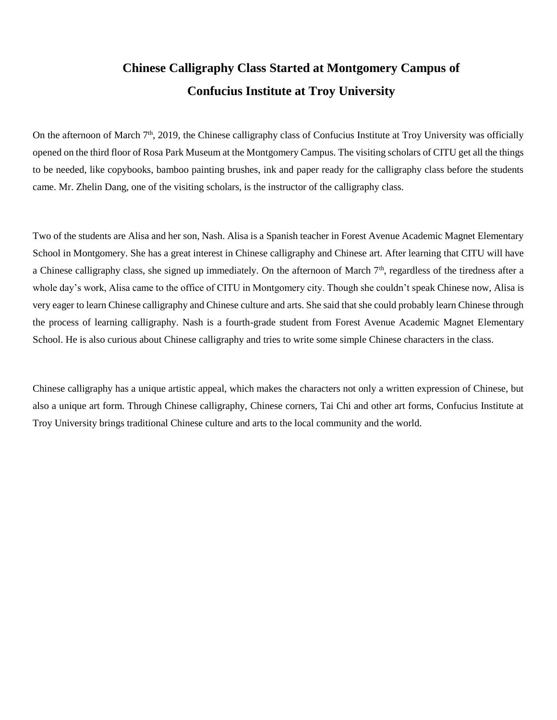## **Chinese Calligraphy Class Started at Montgomery Campus of Confucius Institute at Troy University**

On the afternoon of March  $7<sup>th</sup>$ , 2019, the Chinese calligraphy class of Confucius Institute at Troy University was officially opened on the third floor of Rosa Park Museum at the Montgomery Campus. The visiting scholars of CITU get all the things to be needed, like copybooks, bamboo painting brushes, ink and paper ready for the calligraphy class before the students came. Mr. Zhelin Dang, one of the visiting scholars, is the instructor of the calligraphy class.

Two of the students are Alisa and her son, Nash. Alisa is a Spanish teacher in Forest Avenue Academic Magnet Elementary School in Montgomery. She has a great interest in Chinese calligraphy and Chinese art. After learning that CITU will have a Chinese calligraphy class, she signed up immediately. On the afternoon of March  $7<sup>th</sup>$ , regardless of the tiredness after a whole day's work, Alisa came to the office of CITU in Montgomery city. Though she couldn't speak Chinese now, Alisa is very eager to learn Chinese calligraphy and Chinese culture and arts. She said that she could probably learn Chinese through the process of learning calligraphy. Nash is a fourth-grade student from Forest Avenue Academic Magnet Elementary School. He is also curious about Chinese calligraphy and tries to write some simple Chinese characters in the class.

Chinese calligraphy has a unique artistic appeal, which makes the characters not only a written expression of Chinese, but also a unique art form. Through Chinese calligraphy, Chinese corners, Tai Chi and other art forms, Confucius Institute at Troy University brings traditional Chinese culture and arts to the local community and the world.